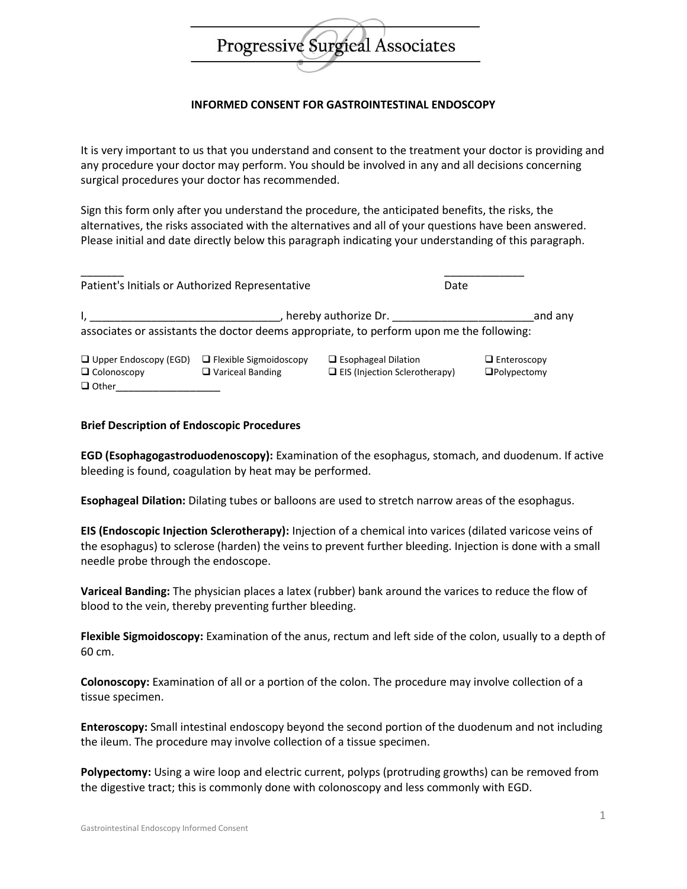# Progressive Surgical Associates

# **INFORMED CONSENT FOR GASTROINTESTINAL ENDOSCOPY**

It is very important to us that you understand and consent to the treatment your doctor is providing and any procedure your doctor may perform. You should be involved in any and all decisions concerning surgical procedures your doctor has recommended.

Sign this form only after you understand the procedure, the anticipated benefits, the risks, the alternatives, the risks associated with the alternatives and all of your questions have been answered. Please initial and date directly below this paragraph indicating your understanding of this paragraph.

|                                                                    | Patient's Initials or Authorized Representative     |                                                                                          | Date                                     |
|--------------------------------------------------------------------|-----------------------------------------------------|------------------------------------------------------------------------------------------|------------------------------------------|
|                                                                    |                                                     | hereby authorize Dr.                                                                     | and any                                  |
|                                                                    |                                                     | associates or assistants the doctor deems appropriate, to perform upon me the following: |                                          |
| $\Box$ Upper Endoscopy (EGD)<br>$\Box$ Colonoscopy<br>$\Box$ Other | □ Flexible Sigmoidoscopy<br>$\Box$ Variceal Banding | $\Box$ Esophageal Dilation<br>$\Box$ EIS (Injection Sclerotherapy)                       | $\Box$ Enteroscopy<br>$\Box$ Polypectomy |

## **Brief Description of Endoscopic Procedures**

**EGD (Esophagogastroduodenoscopy):** Examination of the esophagus, stomach, and duodenum. If active bleeding is found, coagulation by heat may be performed.

**Esophageal Dilation:** Dilating tubes or balloons are used to stretch narrow areas of the esophagus.

**EIS (Endoscopic Injection Sclerotherapy):** Injection of a chemical into varices (dilated varicose veins of the esophagus) to sclerose (harden) the veins to prevent further bleeding. Injection is done with a small needle probe through the endoscope.

**Variceal Banding:** The physician places a latex (rubber) bank around the varices to reduce the flow of blood to the vein, thereby preventing further bleeding.

**Flexible Sigmoidoscopy:** Examination of the anus, rectum and left side of the colon, usually to a depth of 60 cm.

**Colonoscopy:** Examination of all or a portion of the colon. The procedure may involve collection of a tissue specimen.

**Enteroscopy:** Small intestinal endoscopy beyond the second portion of the duodenum and not including the ileum. The procedure may involve collection of a tissue specimen.

**Polypectomy:** Using a wire loop and electric current, polyps (protruding growths) can be removed from the digestive tract; this is commonly done with colonoscopy and less commonly with EGD.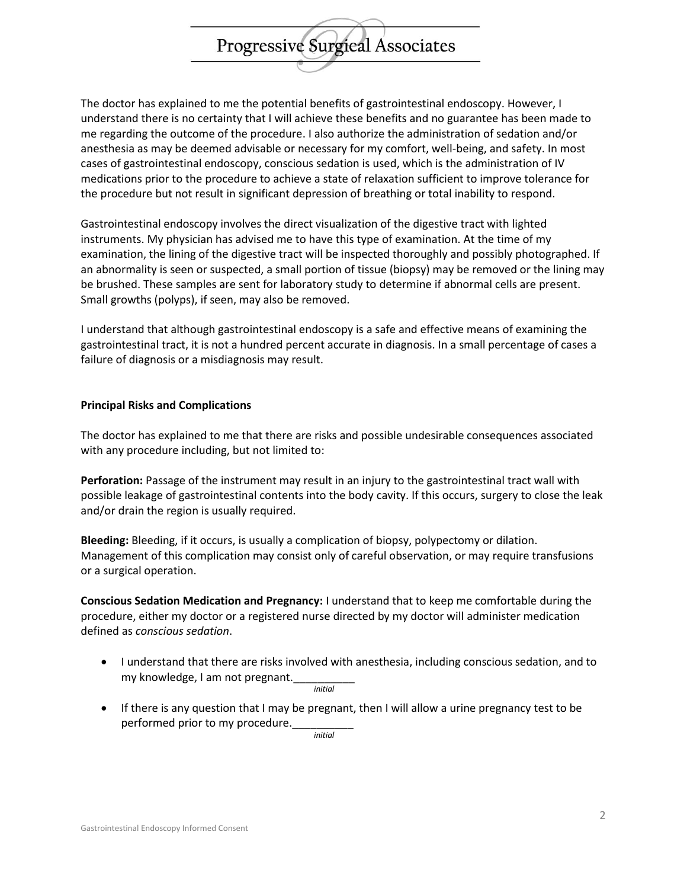The doctor has explained to me the potential benefits of gastrointestinal endoscopy. However, I understand there is no certainty that I will achieve these benefits and no guarantee has been made to me regarding the outcome of the procedure. I also authorize the administration of sedation and/or anesthesia as may be deemed advisable or necessary for my comfort, well-being, and safety. In most cases of gastrointestinal endoscopy, conscious sedation is used, which is the administration of IV medications prior to the procedure to achieve a state of relaxation sufficient to improve tolerance for the procedure but not result in significant depression of breathing or total inability to respond.

**Progressive Surgieal Associates** 

Gastrointestinal endoscopy involves the direct visualization of the digestive tract with lighted instruments. My physician has advised me to have this type of examination. At the time of my examination, the lining of the digestive tract will be inspected thoroughly and possibly photographed. If an abnormality is seen or suspected, a small portion of tissue (biopsy) may be removed or the lining may be brushed. These samples are sent for laboratory study to determine if abnormal cells are present. Small growths (polyps), if seen, may also be removed.

I understand that although gastrointestinal endoscopy is a safe and effective means of examining the gastrointestinal tract, it is not a hundred percent accurate in diagnosis. In a small percentage of cases a failure of diagnosis or a misdiagnosis may result.

## **Principal Risks and Complications**

The doctor has explained to me that there are risks and possible undesirable consequences associated with any procedure including, but not limited to:

**Perforation:** Passage of the instrument may result in an injury to the gastrointestinal tract wall with possible leakage of gastrointestinal contents into the body cavity. If this occurs, surgery to close the leak and/or drain the region is usually required.

**Bleeding:** Bleeding, if it occurs, is usually a complication of biopsy, polypectomy or dilation. Management of this complication may consist only of careful observation, or may require transfusions or a surgical operation.

**Conscious Sedation Medication and Pregnancy:** I understand that to keep me comfortable during the procedure, either my doctor or a registered nurse directed by my doctor will administer medication defined as *conscious sedation*.

- I understand that there are risks involved with anesthesia, including conscious sedation, and to my knowledge, I am not pregnant.
	- *initial*
- If there is any question that I may be pregnant, then I will allow a urine pregnancy test to be performed prior to my procedure.

*initial*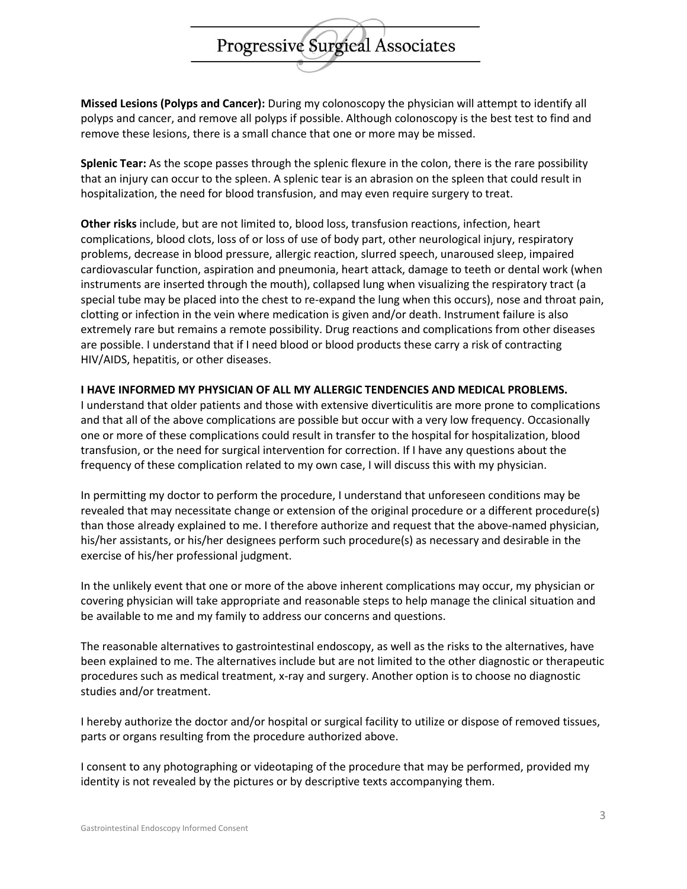Progressive Surgical Associates

**Missed Lesions (Polyps and Cancer):** During my colonoscopy the physician will attempt to identify all polyps and cancer, and remove all polyps if possible. Although colonoscopy is the best test to find and remove these lesions, there is a small chance that one or more may be missed.

**Splenic Tear:** As the scope passes through the splenic flexure in the colon, there is the rare possibility that an injury can occur to the spleen. A splenic tear is an abrasion on the spleen that could result in hospitalization, the need for blood transfusion, and may even require surgery to treat.

**Other risks** include, but are not limited to, blood loss, transfusion reactions, infection, heart complications, blood clots, loss of or loss of use of body part, other neurological injury, respiratory problems, decrease in blood pressure, allergic reaction, slurred speech, unaroused sleep, impaired cardiovascular function, aspiration and pneumonia, heart attack, damage to teeth or dental work (when instruments are inserted through the mouth), collapsed lung when visualizing the respiratory tract (a special tube may be placed into the chest to re-expand the lung when this occurs), nose and throat pain, clotting or infection in the vein where medication is given and/or death. Instrument failure is also extremely rare but remains a remote possibility. Drug reactions and complications from other diseases are possible. I understand that if I need blood or blood products these carry a risk of contracting HIV/AIDS, hepatitis, or other diseases.

## **I HAVE INFORMED MY PHYSICIAN OF ALL MY ALLERGIC TENDENCIES AND MEDICAL PROBLEMS.**

I understand that older patients and those with extensive diverticulitis are more prone to complications and that all of the above complications are possible but occur with a very low frequency. Occasionally one or more of these complications could result in transfer to the hospital for hospitalization, blood transfusion, or the need for surgical intervention for correction. If I have any questions about the frequency of these complication related to my own case, I will discuss this with my physician.

In permitting my doctor to perform the procedure, I understand that unforeseen conditions may be revealed that may necessitate change or extension of the original procedure or a different procedure(s) than those already explained to me. I therefore authorize and request that the above-named physician, his/her assistants, or his/her designees perform such procedure(s) as necessary and desirable in the exercise of his/her professional judgment.

In the unlikely event that one or more of the above inherent complications may occur, my physician or covering physician will take appropriate and reasonable steps to help manage the clinical situation and be available to me and my family to address our concerns and questions.

The reasonable alternatives to gastrointestinal endoscopy, as well as the risks to the alternatives, have been explained to me. The alternatives include but are not limited to the other diagnostic or therapeutic procedures such as medical treatment, x-ray and surgery. Another option is to choose no diagnostic studies and/or treatment.

I hereby authorize the doctor and/or hospital or surgical facility to utilize or dispose of removed tissues, parts or organs resulting from the procedure authorized above.

I consent to any photographing or videotaping of the procedure that may be performed, provided my identity is not revealed by the pictures or by descriptive texts accompanying them.